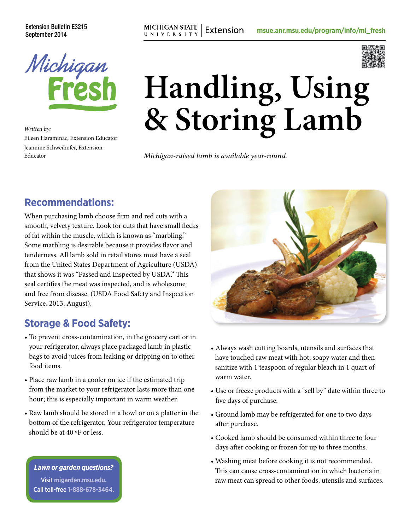Extension Bulletin E3215



*Written by:* Eileen Haraminac, Extension Educator Jeannine Schweihofer, Extension Educator

# **Handling, Using & Storing Lamb**

*Michigan-raised lamb is available year-round.*

### **Recommendations:**

When purchasing lamb choose firm and red cuts with a smooth, velvety texture. Look for cuts that have small flecks of fat within the muscle, which is known as "marbling." Some marbling is desirable because it provides flavor and tenderness. All lamb sold in retail stores must have a seal from the United States Department of Agriculture (USDA) that shows it was "Passed and Inspected by USDA." This seal certifies the meat was inspected, and is wholesome and free from disease. (USDA Food Safety and Inspection Service, 2013, August).

### **Storage & Food Safety:**

- To prevent cross-contamination, in the grocery cart or in your refrigerator, always place packaged lamb in plastic bags to avoid juices from leaking or dripping on to other food items.
- Place raw lamb in a cooler on ice if the estimated trip from the market to your refrigerator lasts more than one hour; this is especially important in warm weather.
- Raw lamb should be stored in a bowl or on a platter in the bottom of the refrigerator. Your refrigerator temperature should be at 40 ºF or less.

#### *Lawn or garden questions?*

Visit **[migarden.msu.edu](http://migarden.msu.edu)**. Call toll-free **1-888-678-3464**.



- Always wash cutting boards, utensils and surfaces that have touched raw meat with hot, soapy water and then sanitize with 1 teaspoon of regular bleach in 1 quart of warm water.
- Use or freeze products with a "sell by" date within three to five days of purchase.
- Ground lamb may be refrigerated for one to two days after purchase.
- Cooked lamb should be consumed within three to four days after cooking or frozen for up to three months.
- Washing meat before cooking it is not recommended. This can cause cross-contamination in which bacteria in raw meat can spread to other foods, utensils and surfaces.

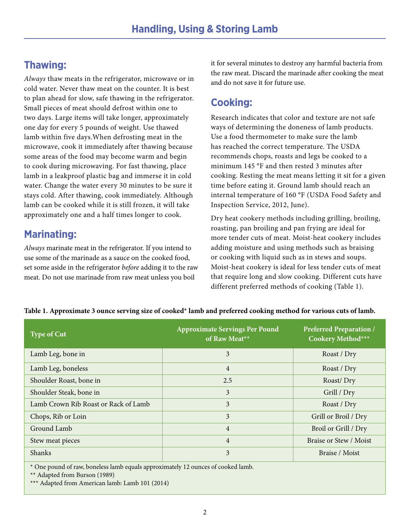## **Thawing:**

*Always* thaw meats in the refrigerator, microwave or in cold water. Never thaw meat on the counter. It is best to plan ahead for slow, safe thawing in the refrigerator. Small pieces of meat should defrost within one to two days. Large items will take longer, approximately one day for every 5 pounds of weight. Use thawed lamb within five days.When defrosting meat in the microwave, cook it immediately after thawing because some areas of the food may become warm and begin to cook during microwaving. For fast thawing, place lamb in a leakproof plastic bag and immerse it in cold water. Change the water every 30 minutes to be sure it stays cold. After thawing, cook immediately. Although lamb can be cooked while it is still frozen, it will take approximately one and a half times longer to cook.

## **Marinating:**

*Always* marinate meat in the refrigerator. If you intend to use some of the marinade as a sauce on the cooked food, set some aside in the refrigerator *before* adding it to the raw meat. Do not use marinade from raw meat unless you boil

it for several minutes to destroy any harmful bacteria from the raw meat. Discard the marinade after cooking the meat and do not save it for future use.

## **Cooking:**

Research indicates that color and texture are not safe ways of determining the doneness of lamb products. Use a food thermometer to make sure the lamb has reached the correct temperature. The USDA recommends chops, roasts and legs be cooked to a minimum 145 °F and then rested 3 minutes after cooking. Resting the meat means letting it sit for a given time before eating it. Ground lamb should reach an internal temperature of 160 °F (USDA Food Safety and Inspection Service, 2012, June).

Dry heat cookery methods including grilling, broiling, roasting, pan broiling and pan frying are ideal for more tender cuts of meat. Moist-heat cookery includes adding moisture and using methods such as braising or cooking with liquid such as in stews and soups. Moist-heat cookery is ideal for less tender cuts of meat that require long and slow cooking. Different cuts have different preferred methods of cooking [\(Table 1](#page-1-0)).

| Type of Cut                          | <b>Approximate Servings Per Pound</b><br>of Raw Meat** | <b>Preferred Preparation /</b><br>Cookery Method*** |
|--------------------------------------|--------------------------------------------------------|-----------------------------------------------------|
| Lamb Leg, bone in                    | 3                                                      | Roast / Dry                                         |
| Lamb Leg, boneless                   | $\overline{4}$                                         | Roast / Dry                                         |
| Shoulder Roast, bone in              | 2.5                                                    | Roast/Dry                                           |
| Shoulder Steak, bone in              | 3                                                      | Grill / Dry                                         |
| Lamb Crown Rib Roast or Rack of Lamb | 3                                                      | Roast / Dry                                         |
| Chops, Rib or Loin                   | 3                                                      | Grill or Broil / Dry                                |
| Ground Lamb                          | $\overline{4}$                                         | Broil or Grill / Dry                                |
| Stew meat pieces                     | $\overline{4}$                                         | Braise or Stew / Moist                              |
| Shanks                               | 3                                                      | Braise / Moist                                      |

<span id="page-1-0"></span>**Table 1. Approximate 3 ounce serving size of cooked\* lamb and preferred cooking method for various cuts of lamb.**

\* One pound of raw, boneless lamb equals approximately 12 ounces of cooked lamb.

\*\* Adapted from Burson (1989)

\*\*\* Adapted from American lamb: Lamb 101 (2014)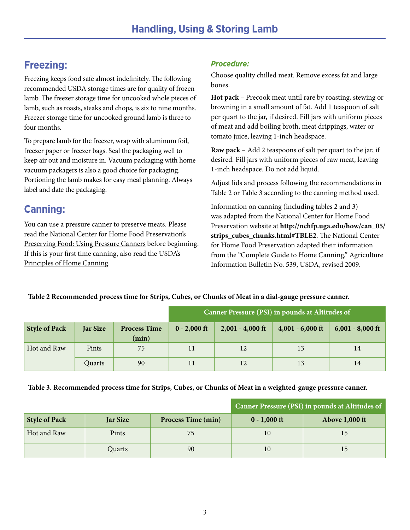# **Freezing:**

Freezing keeps food safe almost indefinitely. The following recommended USDA storage times are for quality of frozen lamb. The freezer storage time for uncooked whole pieces of lamb, such as roasts, steaks and chops, is six to nine months. Freezer storage time for uncooked ground lamb is three to four months.

To prepare lamb for the freezer, wrap with aluminum foil, freezer paper or freezer bags. Seal the packaging well to keep air out and moisture in. Vacuum packaging with home vacuum packagers is also a good choice for packaging. Portioning the lamb makes for easy meal planning. Always label and date the packaging.

# **Canning:**

You can use a pressure canner to preserve meats. Please read the National Center for Home Food Preservation's Preserving Food: Using Pressure Canners before beginning. If this is your first time canning, also read the USDA's Principles of Home Canning.

#### *Procedure:*

Choose quality chilled meat. Remove excess fat and large bones.

**Hot pack** – Precook meat until rare by roasting, stewing or browning in a small amount of fat. Add 1 teaspoon of salt per quart to the jar, if desired. Fill jars with uniform pieces of meat and add boiling broth, meat drippings, water or tomato juice, leaving 1-inch headspace.

**Raw pack** – Add 2 teaspoons of salt per quart to the jar, if desired. Fill jars with uniform pieces of raw meat, leaving 1-inch headspace. Do not add liquid.

Adjust lids and process following the recommendations in [Table 2](#page-2-0) or [Table 3](#page-2-1) according to the canning method used.

Information on canning (including tables 2 and 3) was adapted from the National Center for Home Food Preservation website at **[http://nchfp.uga.edu/how/can\\_05/](http://nchfp.uga.edu/how/can_05/strips_cubes_chunks.html#TBLE2)** strips cubes chunks.html#TBLE2. The National Center for Home Food Preservation adapted their information from the "Complete Guide to Home Canning," Agriculture Information Bulletin No. 539, USDA, revised 2009.

#### <span id="page-2-0"></span>**Table 2 Recommended process time for Strips, Cubes, or Chunks of Meat in a dial-gauge pressure canner.**

|                      |                 |                              | Canner Pressure (PSI) in pounds at Altitudes of |                    |                    |                    |
|----------------------|-----------------|------------------------------|-------------------------------------------------|--------------------|--------------------|--------------------|
| <b>Style of Pack</b> | <b>Jar Size</b> | <b>Process Time</b><br>(min) | $0 - 2,000$ ft                                  | $2,001 - 4,000$ ft | $4,001 - 6,000$ ft | $6,001 - 8,000$ ft |
| Hot and Raw          | Pints           | 75                           | 11                                              | 12                 | 13                 | 14                 |
|                      | Quarts          | 90                           | 11                                              | 12                 | 13                 |                    |

#### <span id="page-2-1"></span>**Table 3. Recommended process time for Strips, Cubes, or Chunks of Meat in a weighted-gauge pressure canner.**

|                      |                 |                           | Canner Pressure (PSI) in pounds at Altitudes of |                       |  |
|----------------------|-----------------|---------------------------|-------------------------------------------------|-----------------------|--|
| <b>Style of Pack</b> | <b>Jar Size</b> | <b>Process Time (min)</b> | $0 - 1,000$ ft                                  | <b>Above 1,000 ft</b> |  |
| Hot and Raw          | Pints           | 75                        | 10                                              | 15                    |  |
|                      | Ouarts          | 90                        | 10                                              | 15                    |  |